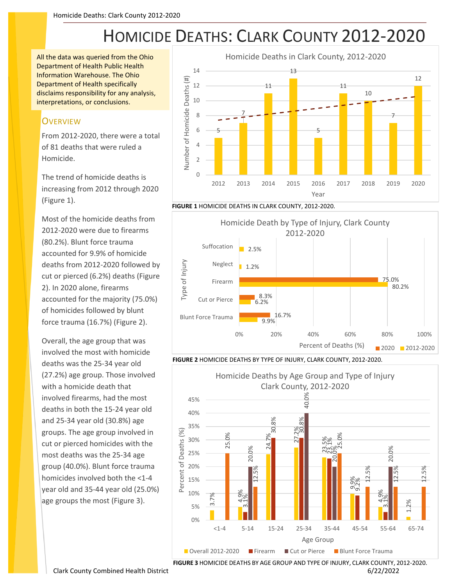## HOMICIDE DEATHS: CLARK COUNTY 2012-2020

All the data was queried from the Ohio Department of Health Public Health Information Warehouse. The Ohio Department of Health specifically disclaims responsibility for any analysis, interpretations, or conclusions.

## **OVERVIEW**

From 2012-2020, there were a total of 81 deaths that were ruled a Homicide.

The trend of homicide deaths is increasing from 2012 through 2020 (Figure 1).

Most of the homicide deaths from 2012-2020 were due to firearms (80.2%). Blunt force trauma accounted for 9.9% of homicide deaths from 2012-2020 followed by cut or pierced (6.2%) deaths (Figure 2). In 2020 alone, firearms accounted for the majority (75.0%) of homicides followed by blunt force trauma (16.7%) (Figure 2).

Overall, the age group that was involved the most with homicide deaths was the 25-34 year old (27.2%) age group. Those involved with a homicide death that involved firearms, had the most deaths in both the 15-24 year old and 25-34 year old (30.8%) age groups. The age group involved in cut or pierced homicides with the most deaths was the 25-34 age group (40.0%). Blunt force trauma homicides involved both the <1-4 year old and 35-44 year old (25.0%) age groups the most (Figure 3).



**FIGURE 1** HOMICIDE DEATHS IN CLARK COUNTY, 2012-2020.



**FIGURE 2** HOMICIDE DEATHS BY TYPE OF INJURY, CLARK COUNTY, 2012-2020.



**FIGURE 3** HOMICIDE DEATHS BY AGE GROUP AND TYPE OF INJURY, CLARK COUNTY, 2012-2020.